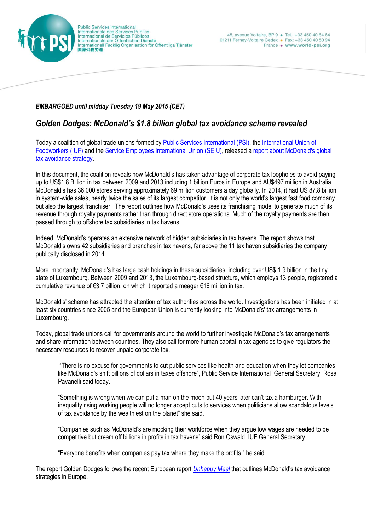

## *EMBARGOED until midday Tuesday 19 May 2015 (CET)*

## *Golden Dodges: McDonald's \$1.8 billion global tax avoidance scheme revealed*

Today a coalition of global trade unions formed by [Public Services International \(PSI\),](http://www.world-psi.org/) the [International Union of](http://www.iuf.org/w/)  [Foodworkers](http://www.iuf.org/w/) (IUF) and the [Service Employees International Union \(SEIU\),](http://www.seiu.org/) released [a report about McDonald's global](http://www.world-psi.org/en/golden-dodges-how-mcdonalds-avoids-paying-its-fair-share-tax)  [tax avoidance strategy.](http://www.world-psi.org/en/golden-dodges-how-mcdonalds-avoids-paying-its-fair-share-tax)

In this document, the coalition reveals how McDonald's has taken advantage of corporate tax loopholes to avoid paying up to US\$1.8 Billion in tax between 2009 and 2013 including 1 billion Euros in Europe and AU\$497 million in Australia. McDonald's has 36,000 stores serving approximately 69 million customers a day globally. In 2014, it had US 87.8 billion in system-wide sales, nearly twice the sales of its largest competitor. It is not only the world's largest fast food company but also the largest franchiser. The report outlines how McDonald's uses its franchising model to generate much of its revenue through royalty payments rather than through direct store operations. Much of the royalty payments are then passed through to offshore tax subsidiaries in tax havens.

Indeed, McDonald's operates an extensive network of hidden subsidiaries in tax havens. The report shows that McDonald's owns 42 subsidiaries and branches in tax havens, far above the 11 tax haven subsidiaries the company publically disclosed in 2014.

More importantly, McDonald's has large cash holdings in these subsidiaries, including over US\$ 1.9 billion in the tiny state of Luxembourg. Between 2009 and 2013, the Luxembourg-based structure, which employs 13 people, registered a cumulative revenue of €3.7 billion, on which it reported a meager €16 million in tax.

McDonald's' scheme has attracted the attention of tax authorities across the world. Investigations has been initiated in at least six countries since 2005 and the European Union is currently looking into McDonald's' tax arrangements in Luxembourg.

Today, global trade unions call for governments around the world to further investigate McDonald's tax arrangements and share information between countries. They also call for more human capital in tax agencies to give regulators the necessary resources to recover unpaid corporate tax.

"There is no excuse for governments to cut public services like health and education when they let companies like McDonald's shift billions of dollars in taxes offshore", Public Service International General Secretary, Rosa Pavanelli said today.

"Something is wrong when we can put a man on the moon but 40 years later can't tax a hamburger. With inequality rising working people will no longer accept cuts to services when politicians allow scandalous levels of tax avoidance by the wealthiest on the planet" she said.

"Companies such as McDonald's are mocking their workforce when they argue low wages are needed to be competitive but cream off billions in profits in tax havens" said Ron Oswald, IUF General Secretary.

"Everyone benefits when companies pay tax where they make the profits," he said.

The report Golden Dodges follows the recent European report *[Unhappy Meal](http://www.world-psi.org/en/report-unhappy-meal)* that outlines McDonald's tax avoidance strategies in Europe.